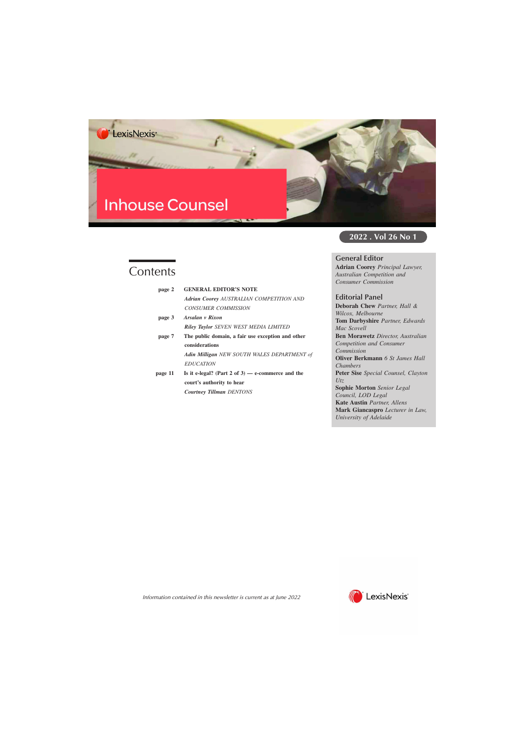# **Inhouse Counsel**

## **Contents**

| page 2  | <b>GENERAL EDITOR'S NOTE</b>                      |
|---------|---------------------------------------------------|
|         | <b>Adrian Coorey AUSTRALIAN COMPETITION AND</b>   |
|         | CONSUMER COMMISSION                               |
| page 3  | Arsalan v Rixon                                   |
|         | <b>Riley Taylor SEVEN WEST MEDIA LIMITED</b>      |
| page 7  | The public domain, a fair use exception and other |
|         | considerations                                    |
|         | Adin Milligan NEW SOUTH WALES DEPARTMENT of       |
|         | <i>EDUCATION</i>                                  |
| page 11 | Is it e-legal? (Part 2 of 3) — e-commerce and the |
|         | court's authority to hear                         |
|         | <b>Courtney Tillman DENTONS</b>                   |
|         |                                                   |

**2022 . Vol 26 No 1**

#### **General Editor**

**Adrian Coorey** *Principal Lawyer, Australian Competition and Consumer Commission*

#### **Editorial Panel**

**Deborah Chew** *Partner, Hall & Wilcox, Melbourne* **Tom Darbyshire** *Partner, Edwards Mac Scovell* **Ben Morawetz** *Director, Australian Competition and Consumer Commission* **Oliver Berkmann** *6 St James Hall Chambers* **Peter Sise** *Special Counsel, Clayton Utz* **Sophie Morton** *Senior Legal Council, LOD Legal* **Kate Austin** *Partner, Allens* **Mark Giancaspro** *Lecturer in Law, University of Adelaide*



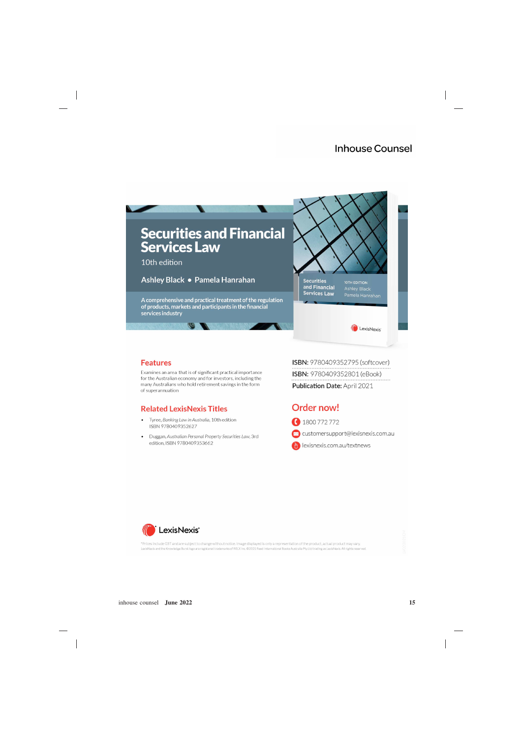

#### **Features**

Examines an area that is of significant practical importance for the Australian economy and for investors, including the many Australians who hold retirement savings in the form of superannuation

### **Related LexisNexis Titles**

- Tyree, Banking Law in Australia, 10th edition ISBN 9780409352627
- Duggan, Australian Personal Property Securities Law, 3rd edition, ISBN 9780409353662

ISBN: 9780409352795 (softcover) ISBN: 9780409352801 (eBook) Publication Date: April 2021

## Order now!

1800 772 772

customersupport@lexisnexis.com.au

exisnexis.com.au/textnews



\*Prices include GST and are subject to change without notice. Image displayed is only a representation of the product, actual product may vary. LexisNexis and the Knowledge Burst logo are registered trademarks of RELX Inc. ©2021 Reed International Books Australia Pty Ltd trading as LexisNexis. All rights reserved